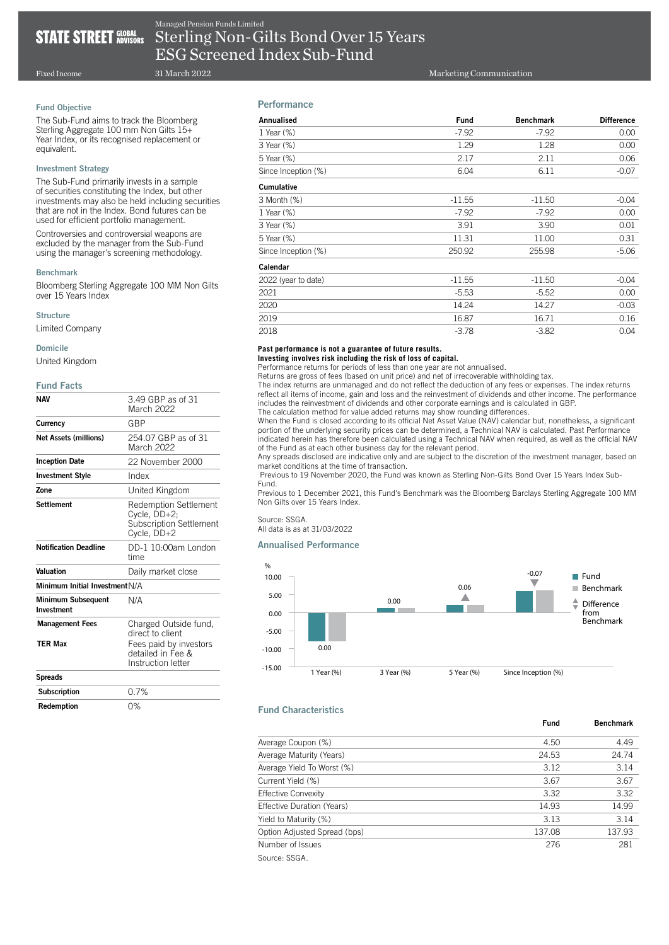# **STATE STREET GLOBAL STATE**

Sterling Non-Gilts Bond Over 15 Years ESG Screened Index Sub-Fund Managed Pension Funds Limited

Fixed Income

# Fund Objective

The Sub-Fund aims to track the Bloomberg Sterling Aggregate 100 mm Non Gilts 15+ Year Index, or its recognised replacement or equivalent.

31 March 2022

#### Investment Strategy

The Sub-Fund primarily invests in a sample of securities constituting the Index, but other investments may also be held including securities that are not in the Index. Bond futures can be used for efficient portfolio management.

Controversies and controversial weapons are excluded by the manager from the Sub-Fund using the manager's screening methodology.

#### Benchmark

Bloomberg Sterling Aggregate 100 MM Non Gilts over 15 Years Index

#### **Structure**

Limited Company

#### Domicile

United Kingdom

#### Fund Facts

| <b>NAV</b>                              | 3.49 GBP as of 31<br>March 2022                                                        |
|-----------------------------------------|----------------------------------------------------------------------------------------|
| Currency                                | GBP                                                                                    |
| <b>Net Assets (millions)</b>            | 254.07 GBP as of 31<br>March 2022                                                      |
| <b>Inception Date</b>                   | 22 November 2000                                                                       |
| <b>Investment Style</b>                 | Index                                                                                  |
| Zone                                    | United Kingdom                                                                         |
| <b>Settlement</b>                       | <b>Redemption Settlement</b><br>Cycle, DD+2;<br>Subscription Settlement<br>Cycle, DD+2 |
| <b>Notification Deadline</b>            | DD-1 10:00am London<br>time                                                            |
| Valuation                               | Daily market close                                                                     |
| Minimum Initial Investment N/A          |                                                                                        |
| <b>Minimum Subsequent</b><br>Investment | N/A                                                                                    |
| <b>Management Fees</b>                  | Charged Outside fund,<br>direct to client                                              |
| <b>TER Max</b>                          | Fees paid by investors<br>detailed in Fee &<br>Instruction letter                      |
| <b>Spreads</b>                          |                                                                                        |
| Subscription                            | 0.7%                                                                                   |
| Redemption                              | 0%                                                                                     |

# Performance

| Annualised          | <b>Fund</b> | <b>Benchmark</b> | <b>Difference</b> |
|---------------------|-------------|------------------|-------------------|
| 1 Year (%)          | $-7.92$     | $-7.92$          | 0.00              |
| 3 Year (%)          | 1.29        | 1.28             | 0.00              |
| 5 Year (%)          | 2.17        | 2.11             | 0.06              |
| Since Inception (%) | 6.04        | 6.11             | $-0.07$           |
| Cumulative          |             |                  |                   |
| 3 Month (%)         | $-11.55$    | $-11.50$         | $-0.04$           |
| 1 Year (%)          | $-7.92$     | $-7.92$          | 0.00              |
| 3 Year (%)          | 3.91        | 3.90             | 0.01              |
| 5 Year (%)          | 11.31       | 11.00            | 0.31              |
| Since Inception (%) | 250.92      | 255.98           | $-5.06$           |
| Calendar            |             |                  |                   |
| 2022 (year to date) | $-11.55$    | $-11.50$         | $-0.04$           |
| 2021                | $-5.53$     | $-5.52$          | 0.00              |
| 2020                | 14.24       | 14.27            | $-0.03$           |
| 2019                | 16.87       | 16.71            | 0.16              |
| 2018                | $-3.78$     | $-3.82$          | 0.04              |

# **Past performance is not a guarantee of future results.**

**Investing involves risk including the risk of loss of capital.**

Performance returns for periods of less than one year are not annualised. Returns are gross of fees (based on unit price) and net of irrecoverable withholding tax.

The index returns are unmanaged and do not reflect the deduction of any fees or expenses. The index returns reflect all items of income, gain and loss and the reinvestment of dividends and other income. The performance includes the reinvestment of dividends and other corporate earnings and is calculated in GBP.

The calculation method for value added returns may show rounding differences.

When the Fund is closed according to its official Net Asset Value (NAV) calendar but, nonetheless, a significant portion of the underlying security prices can be determined, a Technical NAV is calculated. Past Performance indicated herein has therefore been calculated using a Technical NAV when required, as well as the official NAV of the Fund as at each other business day for the relevant period.

Any spreads disclosed are indicative only and are subject to the discretion of the investment manager, based on market conditions at the time of transaction.

 Previous to 19 November 2020, the Fund was known as Sterling Non-Gilts Bond Over 15 Years Index Sub-Fund.

Previous to 1 December 2021, this Fund's Benchmark was the Bloomberg Barclays Sterling Aggregate 100 MM Non Gilts over 15 Years Index.

Source: SSGA. All data is as at 31/03/2022

## Annualised Performance



# Fund Characteristics

| Average Coupon (%)           | 4.50   | 4.49   |
|------------------------------|--------|--------|
| Average Maturity (Years)     | 24.53  | 24.74  |
| Average Yield To Worst (%)   | 3.12   | 3.14   |
| Current Yield (%)            | 3.67   | 3.67   |
| <b>Effective Convexity</b>   | 3.32   | 3.32   |
| Effective Duration (Years)   | 14.93  | 14.99  |
| Yield to Maturity (%)        | 3.13   | 3.14   |
| Option Adjusted Spread (bps) | 137.08 | 137.93 |
| Number of Issues             | 276    | 281    |
| Source: SSGA.                |        |        |

Fund Benchmark

Marketing Communication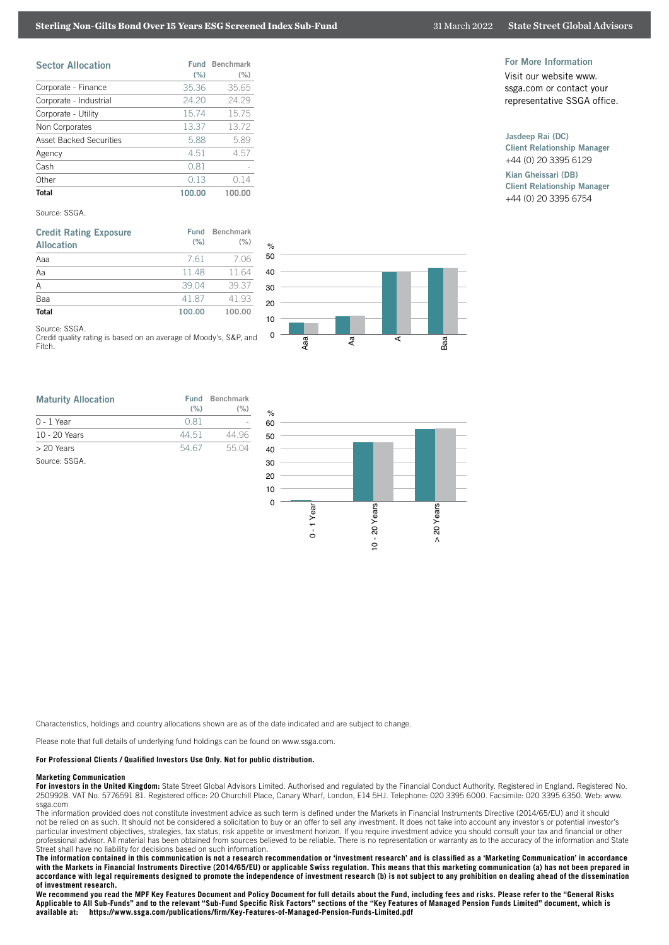# **Sterling Non-Gilts Bond Over 15 Years ESG Screened Index Sub-Fund** 31 March 2022 State Street Global Advisors

| <b>Sector Allocation</b>       | Fund<br>(% ) | <b>Benchmark</b><br>(% ) |
|--------------------------------|--------------|--------------------------|
| Corporate - Finance            | 35.36        | 35.65                    |
| Corporate - Industrial         | 24.20        | 24.29                    |
| Corporate - Utility            | 15.74        | 15.75                    |
| Non Corporates                 | 13.37        | 1372                     |
| <b>Asset Backed Securities</b> | 5.88         | 5.89                     |
| Agency                         | 4.51         | 4.57                     |
| Cash                           | 0.81         |                          |
| Other                          | 013          | 014                      |
| <b>Total</b>                   | 100.00       | 100.00                   |

#### Source: SSGA.

| <b>Credit Rating Exposure</b><br><b>Allocation</b> | Fund<br>(% ) | <b>Benchmark</b><br>$(\% )$ |
|----------------------------------------------------|--------------|-----------------------------|
| Aaa                                                | 7.61         | 7.06                        |
| Aa                                                 | 1148         | 11.64                       |
| A                                                  | 39.04        | 39.37                       |
| Baa                                                | 4187         | 41 93                       |
| <b>Total</b>                                       | 100.00       | 100.00                      |
| Source: SSGA                                       |              |                             |

Credit quality rating is based on an average of Moody's, S&P, and Fitch.

| <b>Maturity Allocation</b> | $(\% )$ | <b>Fund Benchmark</b><br>$(\% )$ |
|----------------------------|---------|----------------------------------|
| $0 - 1$ Year               | 0.81    |                                  |
| 10 - 20 Years              | 44.51   | 44 96                            |
| > 20 Years                 | 54.67   | 5504                             |
| Source: SSGA               |         |                                  |



 $\circ$ 

## For More Information

Visit our website www. ssga.com or contact your representative SSGA office.

# Jasdeep Rai (DC)

Client Relationship Manager +44 (0) 20 3395 6129

Kian Gheissari (DB) Client Relationship Manager +44 (0) 20 3395 6754



Characteristics, holdings and country allocations shown are as of the date indicated and are subject to change.

Please note that full details of underlying fund holdings can be found on www.ssga.com.

### **For Professional Clients / Qualified Investors Use Only. Not for public distribution.**

#### **Marketing Communication**

For investors in the United Kingdom: State Street Global Advisors Limited. Authorised and regulated by the Financial Conduct Authority. Registered in England. Registered No. 2509928. VAT No. 5776591 81. Registered office: 20 Churchill Place, Canary Wharf, London, E14 5HJ. Telephone: 020 3395 6000. Facsimile: 020 3395 6350. Web: www. ssga.com

The information provided does not constitute investment advice as such term is defined under the Markets in Financial Instruments Directive (2014/65/EU) and it should not be relied on as such. It should not be considered a solicitation to buy or an offer to sell any investment. It does not take into account any investor's or potential investor's particular investment objectives, strategies, tax status, risk appetite or investment horizon. If you require investment advice you should consult your tax and financial or other professional advisor. All material has been obtained from sources believed to be reliable. There is no representation or warranty as to the accuracy of the information and State Street shall have no liability for decisions based on such information.

**The information contained in this communication is not a research recommendation or 'investment research' and is classified as a 'Marketing Communication' in accordance with the Markets in Financial Instruments Directive (2014/65/EU) or applicable Swiss regulation. This means that this marketing communication (a) has not been prepared in accordance with legal requirements designed to promote the independence of investment research (b) is not subject to any prohibition on dealing ahead of the dissemination of investment research.**

**We recommend you read the MPF Key Features Document and Policy Document for full details about the Fund, including fees and risks. Please refer to the "General Risks**  Applicable to All Sub-Funds" and to the relevant "Sub-Fund Specific Risk Factors" sections of the "Key Features of Managed Pension Funds Limited" document, which is<br>available at: https://www.ssga.com/publications/firm/Key**available at: https://www.ssga.com/publications/firm/Key-Features-of-Managed-Pension-Funds-Limited.pdf**

### 31 March 2022